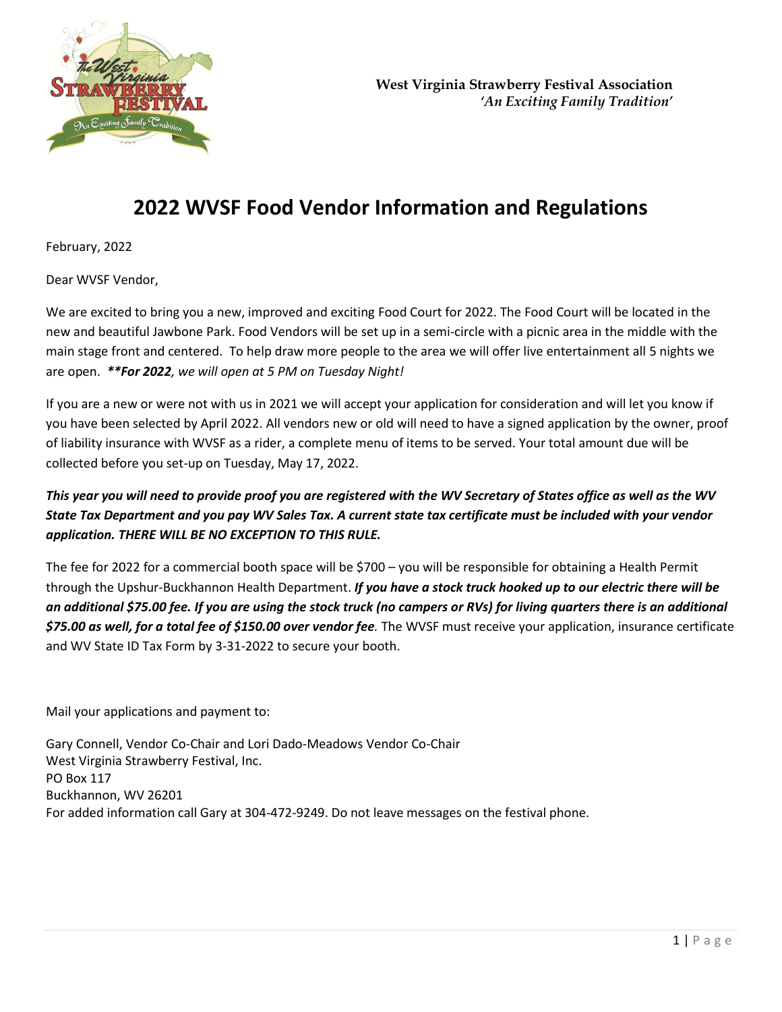

# **2022 WVSF Food Vendor Information and Regulations**

February, 2022

Dear WVSF Vendor,

We are excited to bring you a new, improved and exciting Food Court for 2022. The Food Court will be located in the new and beautiful Jawbone Park. Food Vendors will be set up in a semi-circle with a picnic area in the middle with the main stage front and centered. To help draw more people to the area we will offer live entertainment all 5 nights we are open. *\*\*For 2022, we will open at 5 PM on Tuesday Night!* 

If you are a new or were not with us in 2021 we will accept your application for consideration and will let you know if you have been selected by April 2022. All vendors new or old will need to have a signed application by the owner, proof of liability insurance with WVSF as a rider, a complete menu of items to be served. Your total amount due will be collected before you set-up on Tuesday, May 17, 2022.

## *This year you will need to provide proof you are registered with the WV Secretary of States office as well as the WV State Tax Department and you pay WV Sales Tax. A current state tax certificate must be included with your vendor application. THERE WILL BE NO EXCEPTION TO THIS RULE.*

The fee for 2022 for a commercial booth space will be \$700 – you will be responsible for obtaining a Health Permit through the Upshur-Buckhannon Health Department. *If you have a stock truck hooked up to our electric there will be an additional \$75.00 fee. If you are using the stock truck (no campers or RVs) for living quarters there is an additional \$75.00 as well, for a total fee of \$150.00 over vendor fee.* The WVSF must receive your application, insurance certificate and WV State ID Tax Form by 3-31-2022 to secure your booth.

Mail your applications and payment to:

Gary Connell, Vendor Co-Chair and Lori Dado-Meadows Vendor Co-Chair West Virginia Strawberry Festival, Inc. PO Box 117 Buckhannon, WV 26201 For added information call Gary at 304-472-9249. Do not leave messages on the festival phone.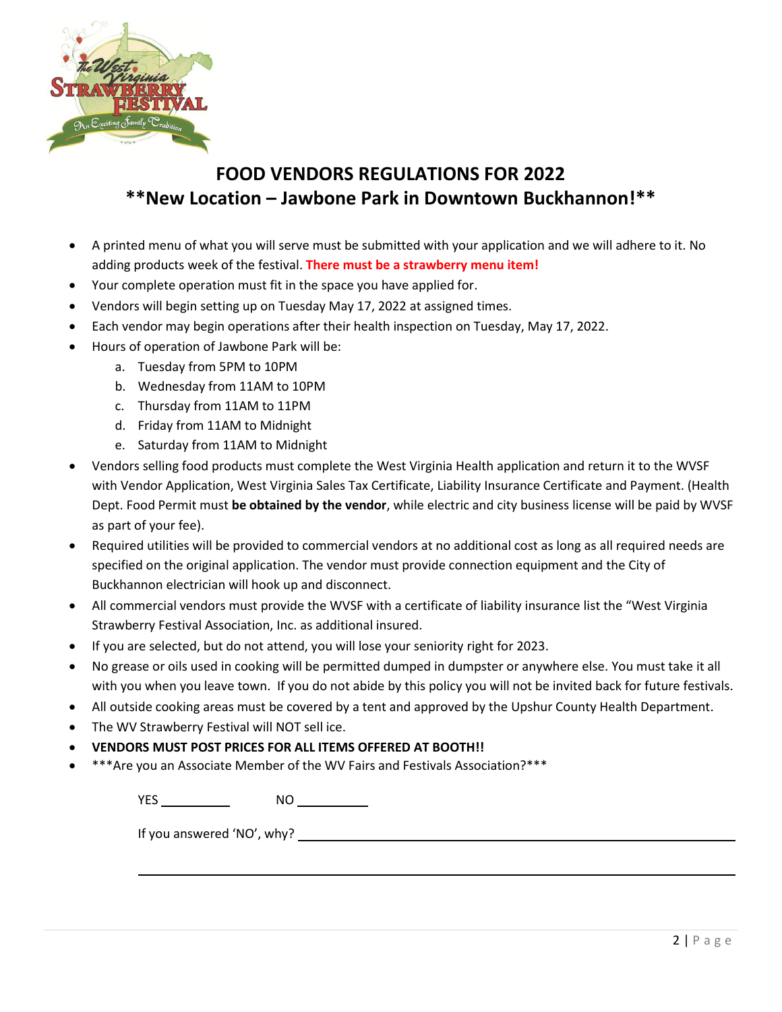

# **FOOD VENDORS REGULATIONS FOR 2022 \*\*New Location – Jawbone Park in Downtown Buckhannon!\*\***

- A printed menu of what you will serve must be submitted with your application and we will adhere to it. No adding products week of the festival. **There must be a strawberry menu item!**
- Your complete operation must fit in the space you have applied for.
- Vendors will begin setting up on Tuesday May 17, 2022 at assigned times.
- Each vendor may begin operations after their health inspection on Tuesday, May 17, 2022.
- Hours of operation of Jawbone Park will be:
	- a. Tuesday from 5PM to 10PM
	- b. Wednesday from 11AM to 10PM
	- c. Thursday from 11AM to 11PM
	- d. Friday from 11AM to Midnight
	- e. Saturday from 11AM to Midnight
- Vendors selling food products must complete the West Virginia Health application and return it to the WVSF with Vendor Application, West Virginia Sales Tax Certificate, Liability Insurance Certificate and Payment. (Health Dept. Food Permit must **be obtained by the vendor**, while electric and city business license will be paid by WVSF as part of your fee).
- Required utilities will be provided to commercial vendors at no additional cost as long as all required needs are specified on the original application. The vendor must provide connection equipment and the City of Buckhannon electrician will hook up and disconnect.
- All commercial vendors must provide the WVSF with a certificate of liability insurance list the "West Virginia Strawberry Festival Association, Inc. as additional insured.
- If you are selected, but do not attend, you will lose your seniority right for 2023.
- No grease or oils used in cooking will be permitted dumped in dumpster or anywhere else. You must take it all with you when you leave town. If you do not abide by this policy you will not be invited back for future festivals.
- All outside cooking areas must be covered by a tent and approved by the Upshur County Health Department.
- The WV Strawberry Festival will NOT sell ice.
- **VENDORS MUST POST PRICES FOR ALL ITEMS OFFERED AT BOOTH!!**
- \*\*\*Are you an Associate Member of the WV Fairs and Festivals Association?\*\*\*

YES NO

If you answered 'NO', why?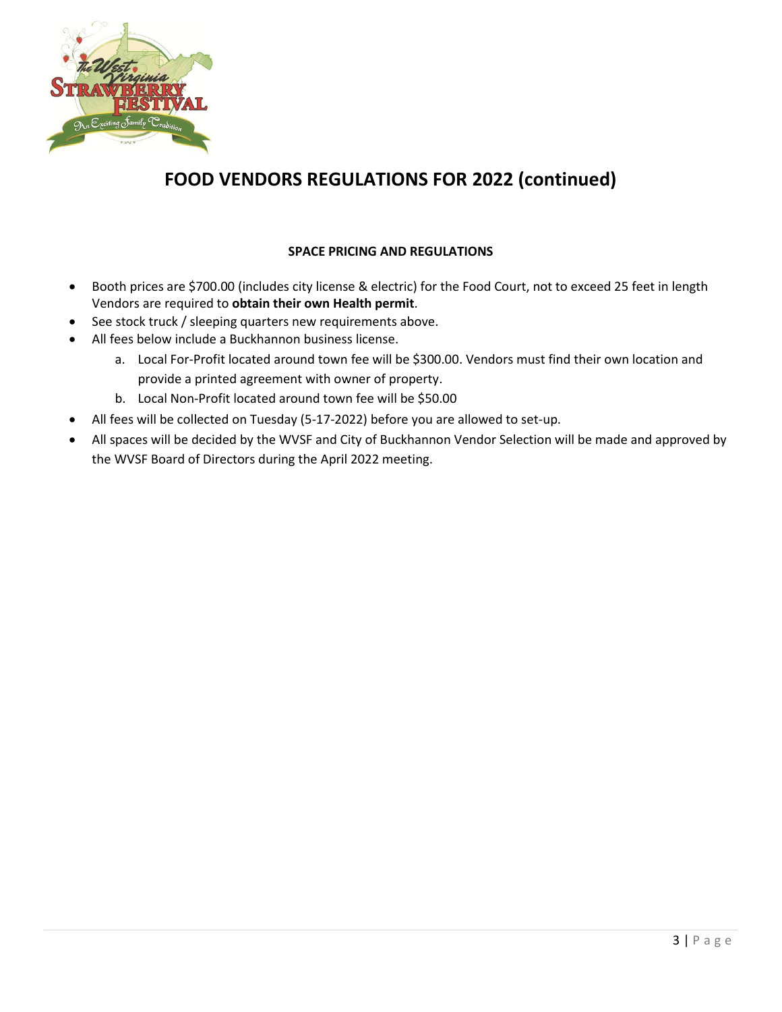

# **FOOD VENDORS REGULATIONS FOR 2022 (continued)**

## **SPACE PRICING AND REGULATIONS**

- Booth prices are \$700.00 (includes city license & electric) for the Food Court, not to exceed 25 feet in length Vendors are required to **obtain their own Health permit**.
- See stock truck / sleeping quarters new requirements above.
- All fees below include a Buckhannon business license.
	- a. Local For-Profit located around town fee will be \$300.00. Vendors must find their own location and provide a printed agreement with owner of property.
	- b. Local Non-Profit located around town fee will be \$50.00
- All fees will be collected on Tuesday (5-17-2022) before you are allowed to set-up.
- All spaces will be decided by the WVSF and City of Buckhannon Vendor Selection will be made and approved by the WVSF Board of Directors during the April 2022 meeting.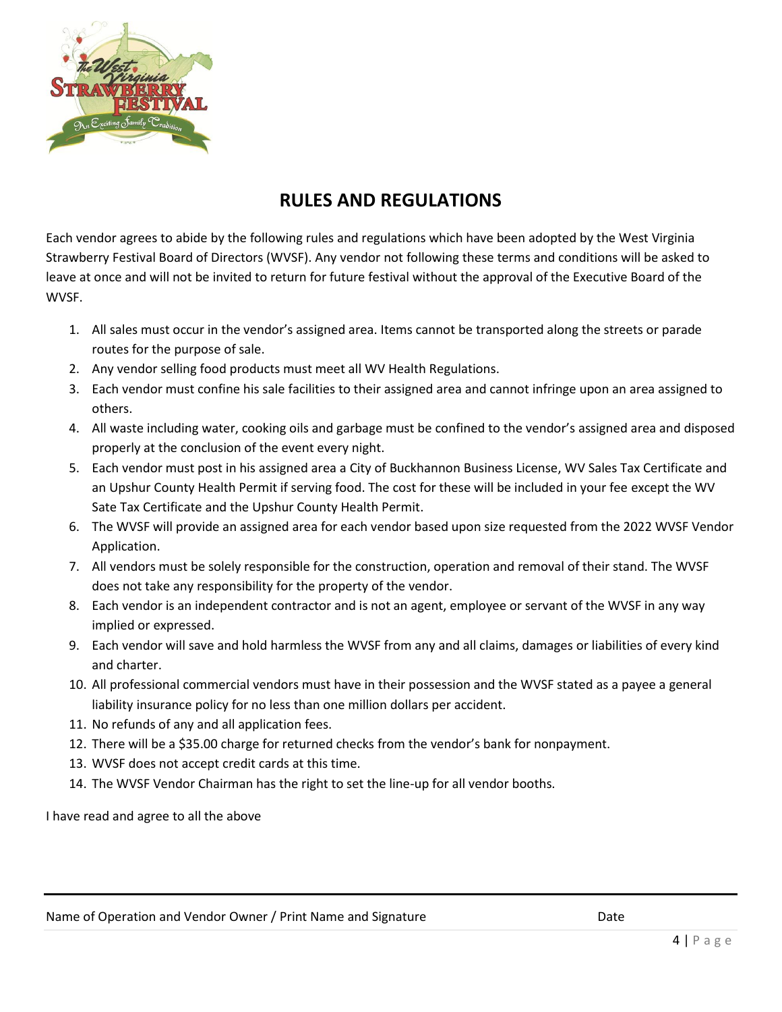

## **RULES AND REGULATIONS**

Each vendor agrees to abide by the following rules and regulations which have been adopted by the West Virginia Strawberry Festival Board of Directors (WVSF). Any vendor not following these terms and conditions will be asked to leave at once and will not be invited to return for future festival without the approval of the Executive Board of the WVSF.

- 1. All sales must occur in the vendor's assigned area. Items cannot be transported along the streets or parade routes for the purpose of sale.
- 2. Any vendor selling food products must meet all WV Health Regulations.
- 3. Each vendor must confine his sale facilities to their assigned area and cannot infringe upon an area assigned to others.
- 4. All waste including water, cooking oils and garbage must be confined to the vendor's assigned area and disposed properly at the conclusion of the event every night.
- 5. Each vendor must post in his assigned area a City of Buckhannon Business License, WV Sales Tax Certificate and an Upshur County Health Permit if serving food. The cost for these will be included in your fee except the WV Sate Tax Certificate and the Upshur County Health Permit.
- 6. The WVSF will provide an assigned area for each vendor based upon size requested from the 2022 WVSF Vendor Application.
- 7. All vendors must be solely responsible for the construction, operation and removal of their stand. The WVSF does not take any responsibility for the property of the vendor.
- 8. Each vendor is an independent contractor and is not an agent, employee or servant of the WVSF in any way implied or expressed.
- 9. Each vendor will save and hold harmless the WVSF from any and all claims, damages or liabilities of every kind and charter.
- 10. All professional commercial vendors must have in their possession and the WVSF stated as a payee a general liability insurance policy for no less than one million dollars per accident.
- 11. No refunds of any and all application fees.
- 12. There will be a \$35.00 charge for returned checks from the vendor's bank for nonpayment.
- 13. WVSF does not accept credit cards at this time.
- 14. The WVSF Vendor Chairman has the right to set the line-up for all vendor booths.

I have read and agree to all the above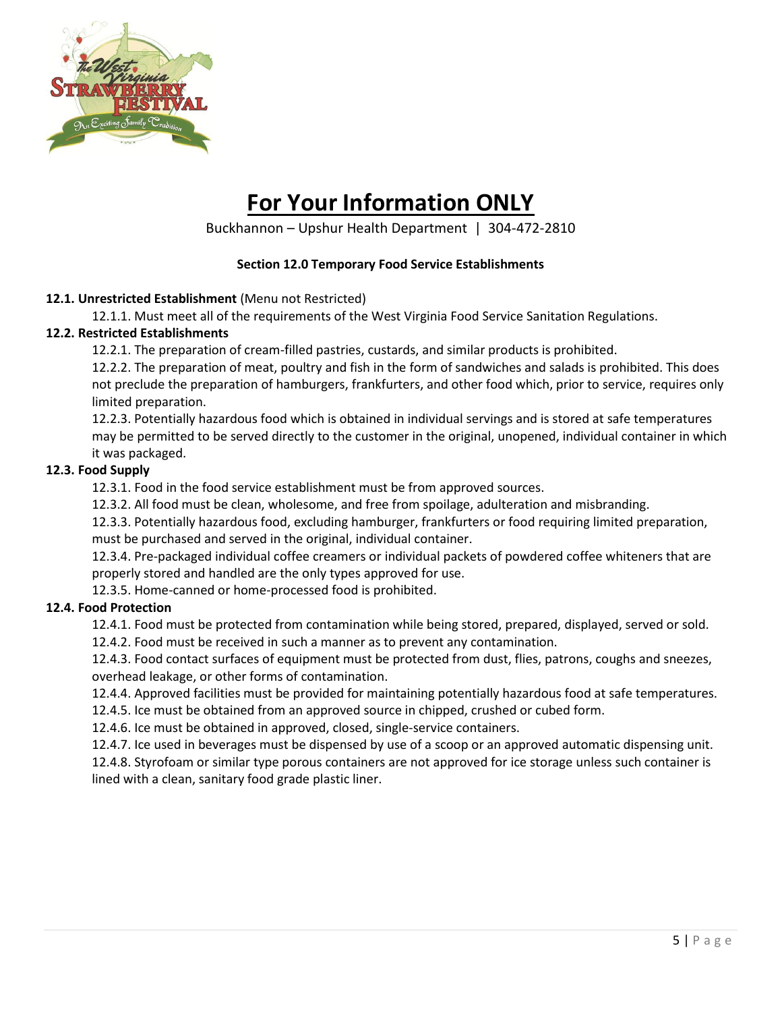

# **For Your Information ONLY**

Buckhannon – Upshur Health Department | 304-472-2810

#### **Section 12.0 Temporary Food Service Establishments**

#### **12.1. Unrestricted Establishment** (Menu not Restricted)

12.1.1. Must meet all of the requirements of the West Virginia Food Service Sanitation Regulations.

#### **12.2. Restricted Establishments**

12.2.1. The preparation of cream-filled pastries, custards, and similar products is prohibited.

12.2.2. The preparation of meat, poultry and fish in the form of sandwiches and salads is prohibited. This does not preclude the preparation of hamburgers, frankfurters, and other food which, prior to service, requires only limited preparation.

12.2.3. Potentially hazardous food which is obtained in individual servings and is stored at safe temperatures may be permitted to be served directly to the customer in the original, unopened, individual container in which it was packaged.

#### **12.3. Food Supply**

12.3.1. Food in the food service establishment must be from approved sources.

12.3.2. All food must be clean, wholesome, and free from spoilage, adulteration and misbranding.

12.3.3. Potentially hazardous food, excluding hamburger, frankfurters or food requiring limited preparation, must be purchased and served in the original, individual container.

12.3.4. Pre-packaged individual coffee creamers or individual packets of powdered coffee whiteners that are properly stored and handled are the only types approved for use.

12.3.5. Home-canned or home-processed food is prohibited.

## **12.4. Food Protection**

12.4.1. Food must be protected from contamination while being stored, prepared, displayed, served or sold.

12.4.2. Food must be received in such a manner as to prevent any contamination.

12.4.3. Food contact surfaces of equipment must be protected from dust, flies, patrons, coughs and sneezes, overhead leakage, or other forms of contamination.

12.4.4. Approved facilities must be provided for maintaining potentially hazardous food at safe temperatures.

12.4.5. Ice must be obtained from an approved source in chipped, crushed or cubed form.

12.4.6. Ice must be obtained in approved, closed, single-service containers.

12.4.7. Ice used in beverages must be dispensed by use of a scoop or an approved automatic dispensing unit. 12.4.8. Styrofoam or similar type porous containers are not approved for ice storage unless such container is lined with a clean, sanitary food grade plastic liner.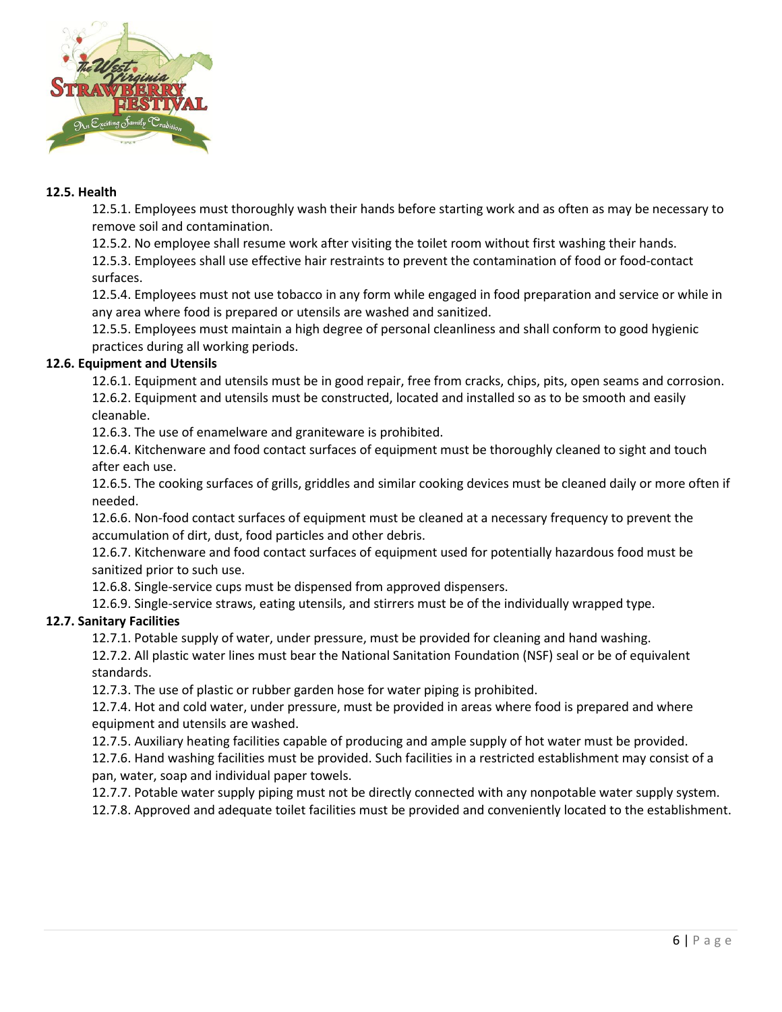

#### **12.5. Health**

12.5.1. Employees must thoroughly wash their hands before starting work and as often as may be necessary to remove soil and contamination.

12.5.2. No employee shall resume work after visiting the toilet room without first washing their hands.

12.5.3. Employees shall use effective hair restraints to prevent the contamination of food or food-contact surfaces.

12.5.4. Employees must not use tobacco in any form while engaged in food preparation and service or while in any area where food is prepared or utensils are washed and sanitized.

12.5.5. Employees must maintain a high degree of personal cleanliness and shall conform to good hygienic practices during all working periods.

#### **12.6. Equipment and Utensils**

12.6.1. Equipment and utensils must be in good repair, free from cracks, chips, pits, open seams and corrosion. 12.6.2. Equipment and utensils must be constructed, located and installed so as to be smooth and easily cleanable.

12.6.3. The use of enamelware and graniteware is prohibited.

12.6.4. Kitchenware and food contact surfaces of equipment must be thoroughly cleaned to sight and touch after each use.

12.6.5. The cooking surfaces of grills, griddles and similar cooking devices must be cleaned daily or more often if needed.

12.6.6. Non-food contact surfaces of equipment must be cleaned at a necessary frequency to prevent the accumulation of dirt, dust, food particles and other debris.

12.6.7. Kitchenware and food contact surfaces of equipment used for potentially hazardous food must be sanitized prior to such use.

12.6.8. Single-service cups must be dispensed from approved dispensers.

12.6.9. Single-service straws, eating utensils, and stirrers must be of the individually wrapped type.

## **12.7. Sanitary Facilities**

12.7.1. Potable supply of water, under pressure, must be provided for cleaning and hand washing.

12.7.2. All plastic water lines must bear the National Sanitation Foundation (NSF) seal or be of equivalent standards.

12.7.3. The use of plastic or rubber garden hose for water piping is prohibited.

12.7.4. Hot and cold water, under pressure, must be provided in areas where food is prepared and where equipment and utensils are washed.

12.7.5. Auxiliary heating facilities capable of producing and ample supply of hot water must be provided.

12.7.6. Hand washing facilities must be provided. Such facilities in a restricted establishment may consist of a pan, water, soap and individual paper towels.

12.7.7. Potable water supply piping must not be directly connected with any nonpotable water supply system.

12.7.8. Approved and adequate toilet facilities must be provided and conveniently located to the establishment.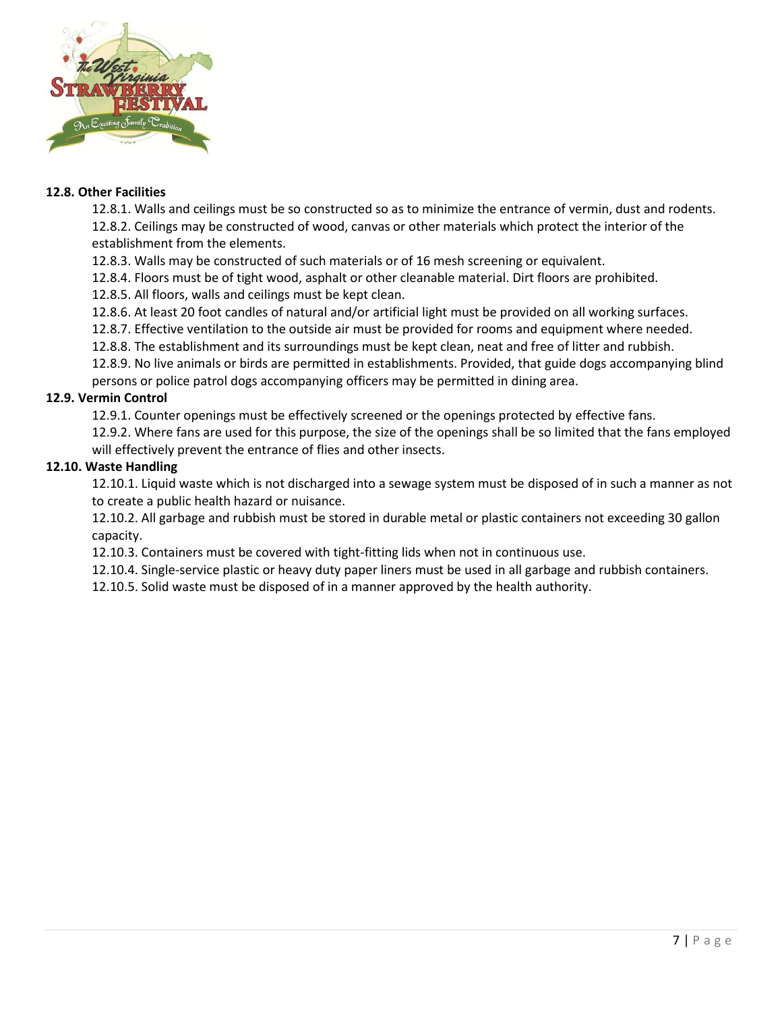

#### **12.8. Other Facilities**

12.8.1. Walls and ceilings must be so constructed so as to minimize the entrance of vermin, dust and rodents. 12.8.2. Ceilings may be constructed of wood, canvas or other materials which protect the interior of the establishment from the elements.

12.8.3. Walls may be constructed of such materials or of 16 mesh screening or equivalent.

12.8.4. Floors must be of tight wood, asphalt or other cleanable material. Dirt floors are prohibited.

12.8.5. All floors, walls and ceilings must be kept clean.

12.8.6. At least 20 foot candles of natural and/or artificial light must be provided on all working surfaces.

12.8.7. Effective ventilation to the outside air must be provided for rooms and equipment where needed.

12.8.8. The establishment and its surroundings must be kept clean, neat and free of litter and rubbish.

12.8.9. No live animals or birds are permitted in establishments. Provided, that guide dogs accompanying blind persons or police patrol dogs accompanying officers may be permitted in dining area.

#### **12.9. Vermin Control**

12.9.1. Counter openings must be effectively screened or the openings protected by effective fans.

12.9.2. Where fans are used for this purpose, the size of the openings shall be so limited that the fans employed will effectively prevent the entrance of flies and other insects.

#### **12.10. Waste Handling**

12.10.1. Liquid waste which is not discharged into a sewage system must be disposed of in such a manner as not to create a public health hazard or nuisance.

12.10.2. All garbage and rubbish must be stored in durable metal or plastic containers not exceeding 30 gallon capacity.

12.10.3. Containers must be covered with tight-fitting lids when not in continuous use.

12.10.4. Single-service plastic or heavy duty paper liners must be used in all garbage and rubbish containers.

12.10.5. Solid waste must be disposed of in a manner approved by the health authority.